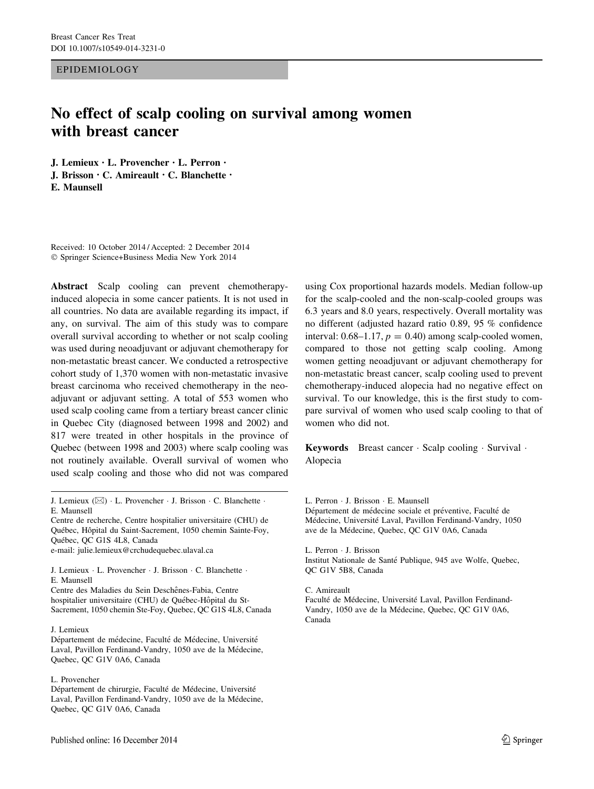EPIDEMIOLOGY

# No effect of scalp cooling on survival among women with breast cancer

J. Lemieux • L. Provencher • L. Perron •

J. Brisson • C. Amireault • C. Blanchette •

E. Maunsell

Received: 10 October 2014 / Accepted: 2 December 2014 - Springer Science+Business Media New York 2014

Abstract Scalp cooling can prevent chemotherapyinduced alopecia in some cancer patients. It is not used in all countries. No data are available regarding its impact, if any, on survival. The aim of this study was to compare overall survival according to whether or not scalp cooling was used during neoadjuvant or adjuvant chemotherapy for non-metastatic breast cancer. We conducted a retrospective cohort study of 1,370 women with non-metastatic invasive breast carcinoma who received chemotherapy in the neoadjuvant or adjuvant setting. A total of 553 women who used scalp cooling came from a tertiary breast cancer clinic in Quebec City (diagnosed between 1998 and 2002) and 817 were treated in other hospitals in the province of Quebec (between 1998 and 2003) where scalp cooling was not routinely available. Overall survival of women who used scalp cooling and those who did not was compared

J. Lemieux (&) - L. Provencher - J. Brisson - C. Blanchette - E. Maunsell

Centre de recherche, Centre hospitalier universitaire (CHU) de Québec, Hôpital du Saint-Sacrement, 1050 chemin Sainte-Foy, Québec, QC G1S 4L8, Canada

e-mail: julie.lemieux@crchudequebec.ulaval.ca

J. Lemieux - L. Provencher - J. Brisson - C. Blanchette - E. Maunsell

Centre des Maladies du Sein Deschênes-Fabia, Centre hospitalier universitaire (CHU) de Québec-Hôpital du St-Sacrement, 1050 chemin Ste-Foy, Quebec, QC G1S 4L8, Canada

#### J. Lemieux

Département de médecine, Faculté de Médecine, Université Laval, Pavillon Ferdinand-Vandry, 1050 ave de la Médecine, Quebec, QC G1V 0A6, Canada

## L. Provencher

Département de chirurgie, Faculté de Médecine, Université Laval, Pavillon Ferdinand-Vandry, 1050 ave de la Médecine, Quebec, QC G1V 0A6, Canada

for the scalp-cooled and the non-scalp-cooled groups was 6.3 years and 8.0 years, respectively. Overall mortality was no different (adjusted hazard ratio 0.89, 95 % confidence interval:  $0.68-1.17$ ,  $p = 0.40$ ) among scalp-cooled women, compared to those not getting scalp cooling. Among women getting neoadjuvant or adjuvant chemotherapy for non-metastatic breast cancer, scalp cooling used to prevent chemotherapy-induced alopecia had no negative effect on survival. To our knowledge, this is the first study to compare survival of women who used scalp cooling to that of women who did not.

using Cox proportional hazards models. Median follow-up

Keywords Breast cancer · Scalp cooling · Survival · Alopecia

L. Perron - J. Brisson - E. Maunsell

Département de médecine sociale et préventive, Faculté de Médecine, Université Laval, Pavillon Ferdinand-Vandry, 1050 ave de la Médecine, Quebec, QC G1V 0A6, Canada

L. Perron - J. Brisson

Institut Nationale de Santé Publique, 945 ave Wolfe, Quebec, QC G1V 5B8, Canada

C. Amireault

Faculté de Médecine, Université Laval, Pavillon Ferdinand-Vandry, 1050 ave de la Médecine, Quebec, QC G1V 0A6, Canada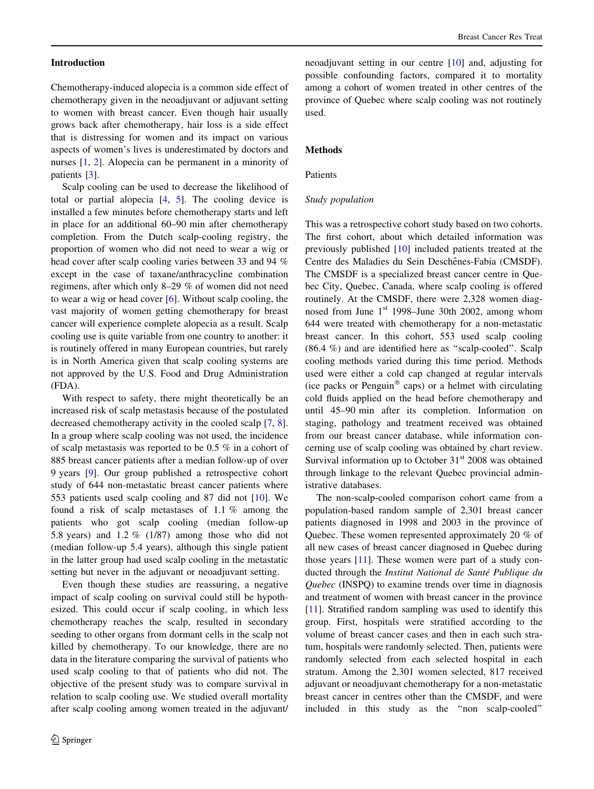## Introduction

Chemotherapy-induced alopecia is a common side effect of chemotherapy given in the neoadjuvant or adjuvant setting to women with breast cancer. Even though hair usually grows back after chemotherapy, hair loss is a side effect that is distressing for women and its impact on various aspects of women's lives is underestimated by doctors and nurses [\[1](#page-5-0), [2](#page-5-0)]. Alopecia can be permanent in a minority of patients [[3\]](#page-5-0).

Scalp cooling can be used to decrease the likelihood of total or partial alopecia  $[4, 5]$  $[4, 5]$  $[4, 5]$  $[4, 5]$ . The cooling device is installed a few minutes before chemotherapy starts and left in place for an additional 60–90 min after chemotherapy completion. From the Dutch scalp-cooling registry, the proportion of women who did not need to wear a wig or head cover after scalp cooling varies between 33 and 94 % except in the case of taxane/anthracycline combination regimens, after which only 8–29 % of women did not need to wear a wig or head cover [\[6](#page-5-0)]. Without scalp cooling, the vast majority of women getting chemotherapy for breast cancer will experience complete alopecia as a result. Scalp cooling use is quite variable from one country to another: it is routinely offered in many European countries, but rarely is in North America given that scalp cooling systems are not approved by the U.S. Food and Drug Administration (FDA).

With respect to safety, there might theoretically be an increased risk of scalp metastasis because of the postulated decreased chemotherapy activity in the cooled scalp [\[7,](#page-5-0) [8](#page-5-0)]. In a group where scalp cooling was not used, the incidence of scalp metastasis was reported to be 0.5 % in a cohort of 885 breast cancer patients after a median follow-up of over 9 years [[9\]](#page-5-0). Our group published a retrospective cohort study of 644 non-metastatic breast cancer patients where 553 patients used scalp cooling and 87 did not [\[10](#page-5-0)]. We found a risk of scalp metastases of 1.1 % among the patients who got scalp cooling (median follow-up 5.8 years) and 1.2 % (1/87) among those who did not (median follow-up 5.4 years), although this single patient in the latter group had used scalp cooling in the metastatic setting but never in the adjuvant or neoadjuvant setting.

Even though these studies are reassuring, a negative impact of scalp cooling on survival could still be hypothesized. This could occur if scalp cooling, in which less chemotherapy reaches the scalp, resulted in secondary seeding to other organs from dormant cells in the scalp not killed by chemotherapy. To our knowledge, there are no data in the literature comparing the survival of patients who used scalp cooling to that of patients who did not. The objective of the present study was to compare survival in relation to scalp cooling use. We studied overall mortality after scalp cooling among women treated in the adjuvant/ neoadjuvant setting in our centre [[10\]](#page-5-0) and, adjusting for possible confounding factors, compared it to mortality among a cohort of women treated in other centres of the province of Quebec where scalp cooling was not routinely used.

### Methods

### Patients

## Study population

This was a retrospective cohort study based on two cohorts. The first cohort, about which detailed information was previously published [\[10](#page-5-0)] included patients treated at the Centre des Maladies du Sein Deschênes-Fabia (CMSDF). The CMSDF is a specialized breast cancer centre in Quebec City, Quebec, Canada, where scalp cooling is offered routinely. At the CMSDF, there were 2,328 women diagnosed from June  $1<sup>st</sup>$  1998–June 30th 2002, among whom 644 were treated with chemotherapy for a non-metastatic breast cancer. In this cohort, 553 used scalp cooling (86.4 %) and are identified here as ''scalp-cooled''. Scalp cooling methods varied during this time period. Methods used were either a cold cap changed at regular intervals (ice packs or Penguin<sup>®</sup> caps) or a helmet with circulating cold fluids applied on the head before chemotherapy and until 45–90 min after its completion. Information on staging, pathology and treatment received was obtained from our breast cancer database, while information concerning use of scalp cooling was obtained by chart review. Survival information up to October  $31<sup>st</sup>$  2008 was obtained through linkage to the relevant Quebec provincial administrative databases.

The non-scalp-cooled comparison cohort came from a population-based random sample of 2,301 breast cancer patients diagnosed in 1998 and 2003 in the province of Quebec. These women represented approximately 20 % of all new cases of breast cancer diagnosed in Quebec during those years  $[11]$  $[11]$ . These women were part of a study conducted through the *Institut National de Santé Publique du* Quebec (INSPQ) to examine trends over time in diagnosis and treatment of women with breast cancer in the province [\[11](#page-5-0)]. Stratified random sampling was used to identify this group. First, hospitals were stratified according to the volume of breast cancer cases and then in each such stratum, hospitals were randomly selected. Then, patients were randomly selected from each selected hospital in each stratum. Among the 2,301 women selected, 817 received adjuvant or neoadjuvant chemotherapy for a non-metastatic breast cancer in centres other than the CMSDF, and were included in this study as the ''non scalp-cooled''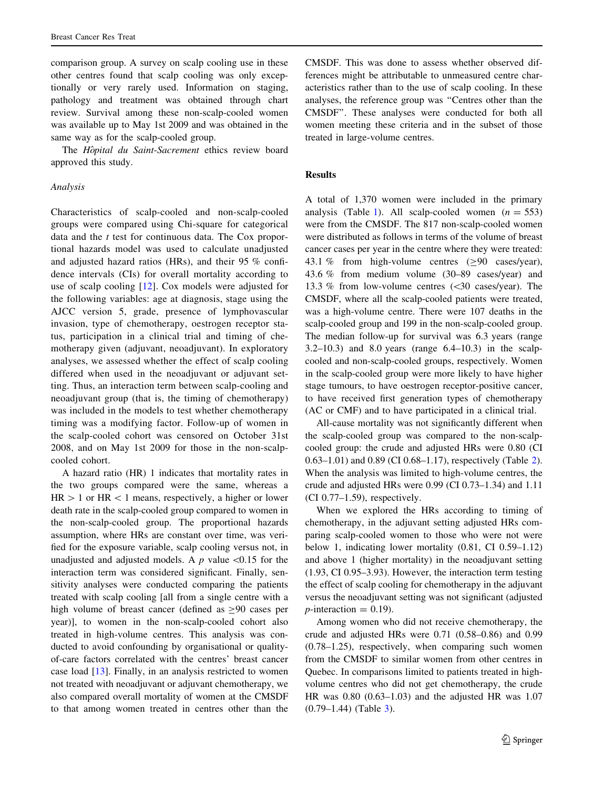comparison group. A survey on scalp cooling use in these other centres found that scalp cooling was only exceptionally or very rarely used. Information on staging, pathology and treatment was obtained through chart review. Survival among these non-scalp-cooled women was available up to May 1st 2009 and was obtained in the same way as for the scalp-cooled group.

The Hôpital du Saint-Sacrement ethics review board approved this study.

## Analysis

Characteristics of scalp-cooled and non-scalp-cooled groups were compared using Chi-square for categorical data and the t test for continuous data. The Cox proportional hazards model was used to calculate unadjusted and adjusted hazard ratios (HRs), and their 95 % confidence intervals (CIs) for overall mortality according to use of scalp cooling [[12\]](#page-5-0). Cox models were adjusted for the following variables: age at diagnosis, stage using the AJCC version 5, grade, presence of lymphovascular invasion, type of chemotherapy, oestrogen receptor status, participation in a clinical trial and timing of chemotherapy given (adjuvant, neoadjuvant). In exploratory analyses, we assessed whether the effect of scalp cooling differed when used in the neoadjuvant or adjuvant setting. Thus, an interaction term between scalp-cooling and neoadjuvant group (that is, the timing of chemotherapy) was included in the models to test whether chemotherapy timing was a modifying factor. Follow-up of women in the scalp-cooled cohort was censored on October 31st 2008, and on May 1st 2009 for those in the non-scalpcooled cohort.

A hazard ratio (HR) 1 indicates that mortality rates in the two groups compared were the same, whereas a  $HR > 1$  or  $HR < 1$  means, respectively, a higher or lower death rate in the scalp-cooled group compared to women in the non-scalp-cooled group. The proportional hazards assumption, where HRs are constant over time, was verified for the exposure variable, scalp cooling versus not, in unadjusted and adjusted models. A  $p$  value  $\leq 0.15$  for the interaction term was considered significant. Finally, sensitivity analyses were conducted comparing the patients treated with scalp cooling [all from a single centre with a high volume of breast cancer (defined as  $\geq 90$  cases per year)], to women in the non-scalp-cooled cohort also treated in high-volume centres. This analysis was conducted to avoid confounding by organisational or qualityof-care factors correlated with the centres' breast cancer case load [\[13](#page-5-0)]. Finally, in an analysis restricted to women not treated with neoadjuvant or adjuvant chemotherapy, we also compared overall mortality of women at the CMSDF to that among women treated in centres other than the

CMSDF. This was done to assess whether observed differences might be attributable to unmeasured centre characteristics rather than to the use of scalp cooling. In these analyses, the reference group was ''Centres other than the CMSDF''. These analyses were conducted for both all women meeting these criteria and in the subset of those treated in large-volume centres.

## Results

A total of 1,370 women were included in the primary analysis (Table [1](#page-3-0)). All scalp-cooled women  $(n = 553)$ were from the CMSDF. The 817 non-scalp-cooled women were distributed as follows in terms of the volume of breast cancer cases per year in the centre where they were treated: 43.1 % from high-volume centres  $(\geq 90 \text{ cases/year})$ , 43.6 % from medium volume (30–89 cases/year) and 13.3 % from low-volume centres  $\langle$  <30 cases/year). The CMSDF, where all the scalp-cooled patients were treated, was a high-volume centre. There were 107 deaths in the scalp-cooled group and 199 in the non-scalp-cooled group. The median follow-up for survival was 6.3 years (range 3.2–10.3) and 8.0 years (range 6.4–10.3) in the scalpcooled and non-scalp-cooled groups, respectively. Women in the scalp-cooled group were more likely to have higher stage tumours, to have oestrogen receptor-positive cancer, to have received first generation types of chemotherapy (AC or CMF) and to have participated in a clinical trial.

All-cause mortality was not significantly different when the scalp-cooled group was compared to the non-scalpcooled group: the crude and adjusted HRs were 0.80 (CI 0.63–1.01) and 0.89 (CI 0.68–1.17), respectively (Table [2](#page-4-0)). When the analysis was limited to high-volume centres, the crude and adjusted HRs were 0.99 (CI 0.73–1.34) and 1.11 (CI 0.77–1.59), respectively.

When we explored the HRs according to timing of chemotherapy, in the adjuvant setting adjusted HRs comparing scalp-cooled women to those who were not were below 1, indicating lower mortality (0.81, CI 0.59–1.12) and above 1 (higher mortality) in the neoadjuvant setting (1.93, CI 0.95–3.93). However, the interaction term testing the effect of scalp cooling for chemotherapy in the adjuvant versus the neoadjuvant setting was not significant (adjusted  $p$ -interaction = 0.19).

Among women who did not receive chemotherapy, the crude and adjusted HRs were 0.71 (0.58–0.86) and 0.99 (0.78–1.25), respectively, when comparing such women from the CMSDF to similar women from other centres in Quebec. In comparisons limited to patients treated in highvolume centres who did not get chemotherapy, the crude HR was 0.80 (0.63–1.03) and the adjusted HR was 1.07 (0.79–1.44) (Table [3\)](#page-4-0).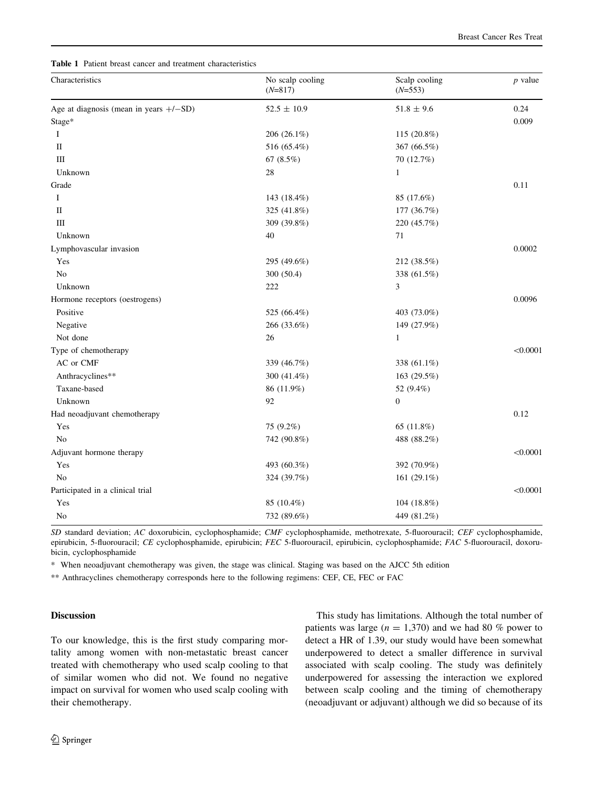<span id="page-3-0"></span>Table 1 Patient breast cancer and treatment characteristics

| Characteristics                           | No scalp cooling<br>$(N=817)$ | Scalp cooling<br>$(N=553)$ | $p$ value |
|-------------------------------------------|-------------------------------|----------------------------|-----------|
| Age at diagnosis (mean in years $+/-SD$ ) | $52.5 \pm 10.9$               | $51.8 \pm 9.6$             | 0.24      |
| Stage*                                    |                               |                            | 0.009     |
| Ι                                         | 206 (26.1%)                   | 115 (20.8%)                |           |
| П                                         | 516 (65.4%)                   | 367 (66.5%)                |           |
| $\mathbf{III}$                            | 67 (8.5%)                     | 70 (12.7%)                 |           |
| Unknown                                   | 28                            | $\mathbf{1}$               |           |
| Grade                                     |                               |                            | 0.11      |
| Ι                                         | 143 (18.4%)                   | 85 (17.6%)                 |           |
| П                                         | 325 (41.8%)                   | 177 (36.7%)                |           |
| Ш                                         | 309 (39.8%)                   | 220 (45.7%)                |           |
| Unknown                                   | 40                            | 71                         |           |
| Lymphovascular invasion                   |                               |                            | 0.0002    |
| Yes                                       | 295 (49.6%)                   | 212 (38.5%)                |           |
| N <sub>o</sub>                            | 300 (50.4)                    | 338 (61.5%)                |           |
| Unknown                                   | 222                           | 3                          |           |
| Hormone receptors (oestrogens)            |                               |                            | 0.0096    |
| Positive                                  | 525 (66.4%)                   | 403 (73.0%)                |           |
| Negative                                  | 266 (33.6%)                   | 149 (27.9%)                |           |
| Not done                                  | 26                            | $\mathbf{1}$               |           |
| Type of chemotherapy                      |                               |                            | < 0.0001  |
| AC or CMF                                 | 339 (46.7%)                   | 338 (61.1%)                |           |
| Anthracyclines**                          | 300 (41.4%)                   | 163 (29.5%)                |           |
| Taxane-based                              | 86 (11.9%)                    | 52 (9.4%)                  |           |
| Unknown                                   | 92                            | $\boldsymbol{0}$           |           |
| Had neoadjuvant chemotherapy              |                               |                            | 0.12      |
| Yes                                       | 75 (9.2%)                     | 65 (11.8%)                 |           |
| No                                        | 742 (90.8%)                   | 488 (88.2%)                |           |
| Adjuvant hormone therapy                  |                               |                            | < 0.0001  |
| Yes                                       | 493 (60.3%)                   | 392 (70.9%)                |           |
| N <sub>0</sub>                            | 324 (39.7%)                   | 161 (29.1%)                |           |
| Participated in a clinical trial          |                               |                            | < 0.0001  |
| Yes                                       | 85 (10.4%)                    | 104 (18.8%)                |           |
| No                                        | 732 (89.6%)                   | 449 (81.2%)                |           |

SD standard deviation; AC doxorubicin, cyclophosphamide; CMF cyclophosphamide, methotrexate, 5-fluorouracil; CEF cyclophosphamide, epirubicin, 5-fluorouracil; CE cyclophosphamide, epirubicin; FEC 5-fluorouracil, epirubicin, cyclophosphamide; FAC 5-fluorouracil, doxorubicin, cyclophosphamide

\* When neoadjuvant chemotherapy was given, the stage was clinical. Staging was based on the AJCC 5th edition

\*\* Anthracyclines chemotherapy corresponds here to the following regimens: CEF, CE, FEC or FAC

## Discussion

To our knowledge, this is the first study comparing mortality among women with non-metastatic breast cancer treated with chemotherapy who used scalp cooling to that of similar women who did not. We found no negative impact on survival for women who used scalp cooling with their chemotherapy.

This study has limitations. Although the total number of patients was large  $(n = 1,370)$  and we had 80 % power to detect a HR of 1.39, our study would have been somewhat underpowered to detect a smaller difference in survival associated with scalp cooling. The study was definitely underpowered for assessing the interaction we explored between scalp cooling and the timing of chemotherapy (neoadjuvant or adjuvant) although we did so because of its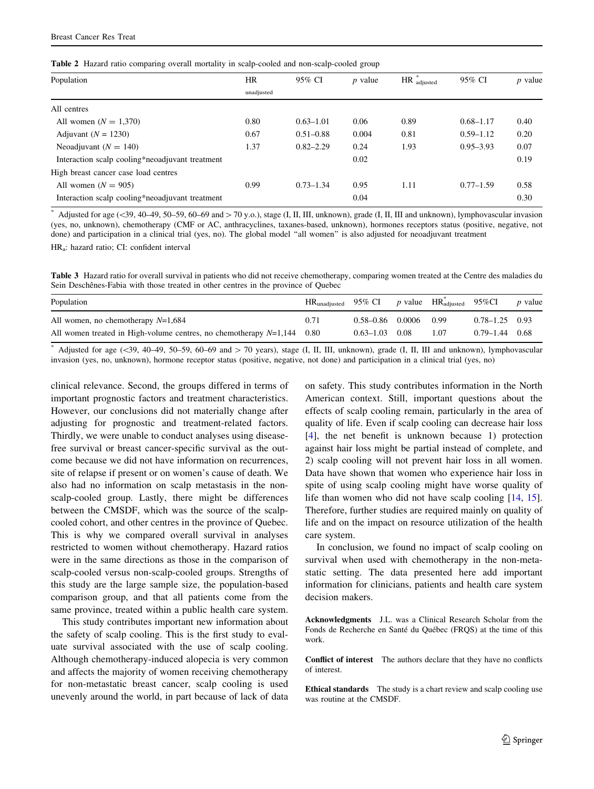<span id="page-4-0"></span>

|  |  |  |  | Table 2 Hazard ratio comparing overall mortality in scalp-cooled and non-scalp-cooled group |
|--|--|--|--|---------------------------------------------------------------------------------------------|
|--|--|--|--|---------------------------------------------------------------------------------------------|

| Population                                      | <b>HR</b>  | 95% CI        | $p$ value | $HR_{adjusted}^*$ | 95% CI        | $p$ value |
|-------------------------------------------------|------------|---------------|-----------|-------------------|---------------|-----------|
|                                                 | unadjusted |               |           |                   |               |           |
| All centres                                     |            |               |           |                   |               |           |
| All women $(N = 1,370)$                         | 0.80       | $0.63 - 1.01$ | 0.06      | 0.89              | $0.68 - 1.17$ | 0.40      |
| Adjuvant ( $N = 1230$ )                         | 0.67       | $0.51 - 0.88$ | 0.004     | 0.81              | $0.59 - 1.12$ | 0.20      |
| Neoadjuvant $(N = 140)$                         | 1.37       | $0.82 - 2.29$ | 0.24      | 1.93              | $0.95 - 3.93$ | 0.07      |
| Interaction scalp cooling*neoadjuvant treatment |            |               | 0.02      |                   |               | 0.19      |
| High breast cancer case load centres            |            |               |           |                   |               |           |
| All women $(N = 905)$                           | 0.99       | $0.73 - 1.34$ | 0.95      | 1.11              | $0.77 - 1.59$ | 0.58      |
| Interaction scalp cooling*neoadjuvant treatment |            |               | 0.04      |                   |               | 0.30      |

 $*$  Adjusted for age (<39, 40–49, 50–59, 60–69 and > 70 y.o.), stage (I, II, III, unknown), grade (I, II, III and unknown), lymphovascular invasion (yes, no, unknown), chemotherapy (CMF or AC, anthracyclines, taxanes-based, unknown), hormones receptors status (positive, negative, not done) and participation in a clinical trial (yes, no). The global model ''all women'' is also adjusted for neoadjuvant treatment

HRa: hazard ratio; CI: confident interval

Table 3 Hazard ratio for overall survival in patients who did not receive chemotherapy, comparing women treated at the Centre des maladies du Sein Deschênes-Fabia with those treated in other centres in the province of Quebec

| Population                                                               | $HR_{unadjusted}$ 95% CI p value $HR_{adjusted}^*$ 95% CI |                      |      |                    | <i>p</i> value |
|--------------------------------------------------------------------------|-----------------------------------------------------------|----------------------|------|--------------------|----------------|
| All women, no chemotherapy $N=1,684$                                     | 0.71                                                      | $0.58 - 0.86$ 0.0006 | 0.99 | $0.78 - 1.25$ 0.93 |                |
| All women treated in High-volume centres, no chemotherapy $N=1,144$ 0.80 |                                                           | $0.63 - 1.03$ 0.08   | 1.07 | $0.79 - 1.44$ 0.68 |                |

Adjusted for age  $(\leq 39, 40-49, 50-59, 60-69, \text{ and } > 70, \text{ years})$ , stage (I, II, III, unknown), grade (I, II, III and unknown), lymphovascular invasion (yes, no, unknown), hormone receptor status (positive, negative, not done) and participation in a clinical trial (yes, no)

clinical relevance. Second, the groups differed in terms of important prognostic factors and treatment characteristics. However, our conclusions did not materially change after adjusting for prognostic and treatment-related factors. Thirdly, we were unable to conduct analyses using diseasefree survival or breast cancer-specific survival as the outcome because we did not have information on recurrences, site of relapse if present or on women's cause of death. We also had no information on scalp metastasis in the nonscalp-cooled group. Lastly, there might be differences between the CMSDF, which was the source of the scalpcooled cohort, and other centres in the province of Quebec. This is why we compared overall survival in analyses restricted to women without chemotherapy. Hazard ratios were in the same directions as those in the comparison of scalp-cooled versus non-scalp-cooled groups. Strengths of this study are the large sample size, the population-based comparison group, and that all patients come from the same province, treated within a public health care system.

This study contributes important new information about the safety of scalp cooling. This is the first study to evaluate survival associated with the use of scalp cooling. Although chemotherapy-induced alopecia is very common and affects the majority of women receiving chemotherapy for non-metastatic breast cancer, scalp cooling is used unevenly around the world, in part because of lack of data on safety. This study contributes information in the North American context. Still, important questions about the effects of scalp cooling remain, particularly in the area of quality of life. Even if scalp cooling can decrease hair loss [\[4](#page-5-0)], the net benefit is unknown because 1) protection against hair loss might be partial instead of complete, and 2) scalp cooling will not prevent hair loss in all women. Data have shown that women who experience hair loss in spite of using scalp cooling might have worse quality of life than women who did not have scalp cooling [[14,](#page-5-0) [15](#page-5-0)]. Therefore, further studies are required mainly on quality of life and on the impact on resource utilization of the health care system.

In conclusion, we found no impact of scalp cooling on survival when used with chemotherapy in the non-metastatic setting. The data presented here add important information for clinicians, patients and health care system decision makers.

Acknowledgments J.L. was a Clinical Research Scholar from the Fonds de Recherche en Santé du Québec (FRQS) at the time of this work.

Conflict of interest The authors declare that they have no conflicts of interest.

Ethical standards The study is a chart review and scalp cooling use was routine at the CMSDF.